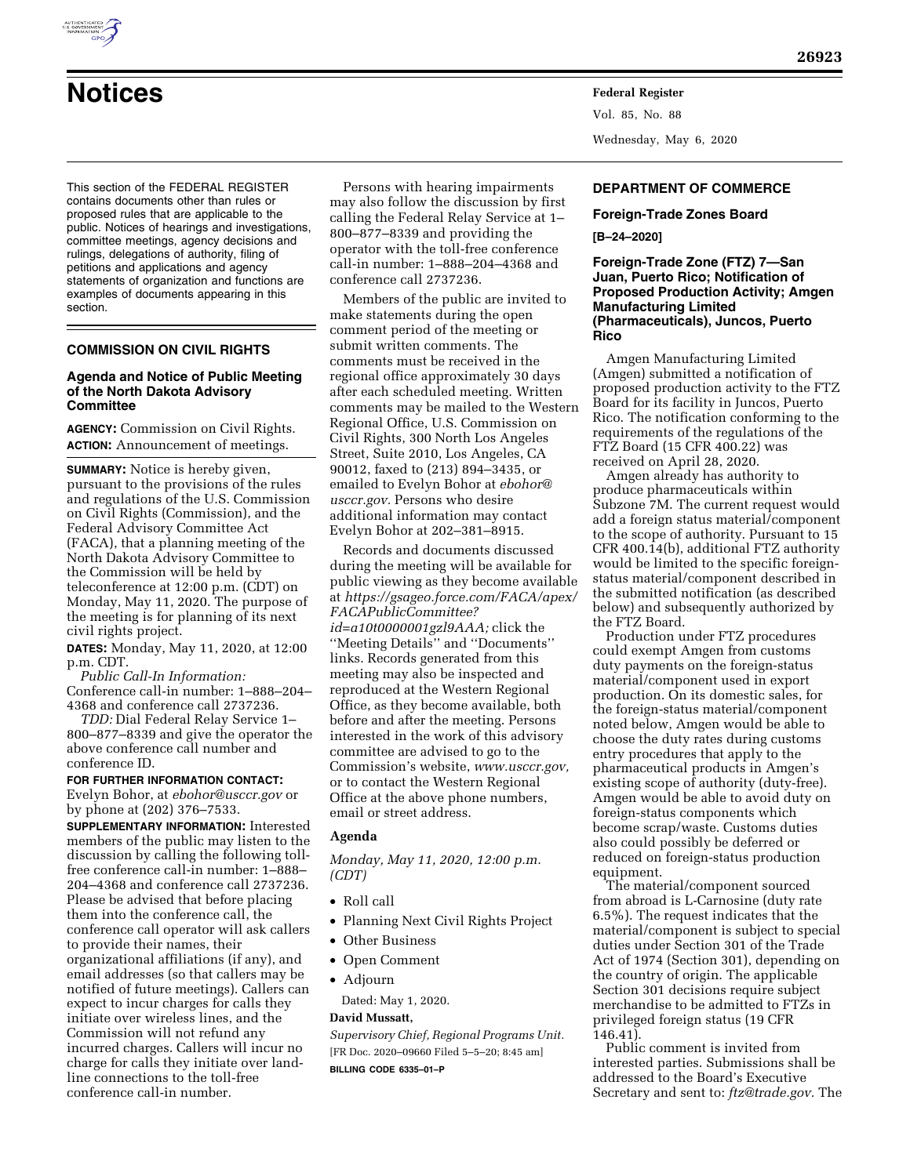

# **Notices Federal Register**

This section of the FEDERAL REGISTER contains documents other than rules or proposed rules that are applicable to the public. Notices of hearings and investigations, committee meetings, agency decisions and rulings, delegations of authority, filing of petitions and applications and agency statements of organization and functions are examples of documents appearing in this section.

# **COMMISSION ON CIVIL RIGHTS**

#### **Agenda and Notice of Public Meeting of the North Dakota Advisory Committee**

**AGENCY:** Commission on Civil Rights. **ACTION:** Announcement of meetings.

**SUMMARY:** Notice is hereby given, pursuant to the provisions of the rules and regulations of the U.S. Commission on Civil Rights (Commission), and the Federal Advisory Committee Act (FACA), that a planning meeting of the North Dakota Advisory Committee to the Commission will be held by teleconference at 12:00 p.m. (CDT) on Monday, May 11, 2020. The purpose of the meeting is for planning of its next civil rights project.

**DATES:** Monday, May 11, 2020, at 12:00 p.m. CDT.

*Public Call-In Information:*  Conference call-in number: 1–888–204– 4368 and conference call 2737236.

*TDD:* Dial Federal Relay Service 1– 800–877–8339 and give the operator the above conference call number and conference ID.

**FOR FURTHER INFORMATION CONTACT:**  Evelyn Bohor, at *[ebohor@usccr.gov](mailto:ebohor@usccr.gov)* or by phone at (202) 376–7533.

**SUPPLEMENTARY INFORMATION:** Interested members of the public may listen to the discussion by calling the following tollfree conference call-in number: 1–888– 204–4368 and conference call 2737236. Please be advised that before placing them into the conference call, the conference call operator will ask callers to provide their names, their organizational affiliations (if any), and email addresses (so that callers may be notified of future meetings). Callers can expect to incur charges for calls they initiate over wireless lines, and the Commission will not refund any incurred charges. Callers will incur no charge for calls they initiate over landline connections to the toll-free conference call-in number.

Persons with hearing impairments may also follow the discussion by first calling the Federal Relay Service at 1– 800–877–8339 and providing the operator with the toll-free conference call-in number: 1–888–204–4368 and conference call 2737236.

Members of the public are invited to make statements during the open comment period of the meeting or submit written comments. The comments must be received in the regional office approximately 30 days after each scheduled meeting. Written comments may be mailed to the Western Regional Office, U.S. Commission on Civil Rights, 300 North Los Angeles Street, Suite 2010, Los Angeles, CA 90012, faxed to (213) 894–3435, or emailed to Evelyn Bohor at *[ebohor@](mailto:ebohor@usccr.gov) [usccr.gov.](mailto:ebohor@usccr.gov)* Persons who desire additional information may contact Evelyn Bohor at 202–381–8915.

Records and documents discussed during the meeting will be available for public viewing as they become available at *[https://gsageo.force.com/FACA/apex/](https://gsageo.force.com/FACA/apex/FACAPublicCommittee?id=a10t0000001gzl9AAA)  [FACAPublicCommittee?](https://gsageo.force.com/FACA/apex/FACAPublicCommittee?id=a10t0000001gzl9AAA) [id=a10t0000001gzl9AAA;](https://gsageo.force.com/FACA/apex/FACAPublicCommittee?id=a10t0000001gzl9AAA)* click the ''Meeting Details'' and ''Documents'' links. Records generated from this meeting may also be inspected and reproduced at the Western Regional Office, as they become available, both before and after the meeting. Persons interested in the work of this advisory committee are advised to go to the Commission's website, *[www.usccr.gov,](http://www.usccr.gov)*  or to contact the Western Regional Office at the above phone numbers, email or street address.

#### **Agenda**

*Monday, May 11, 2020, 12:00 p.m. (CDT)* 

- Roll call
- Planning Next Civil Rights Project
- Other Business
- Open Comment
- Adjourn
	- Dated: May 1, 2020.

#### **David Mussatt,**

*Supervisory Chief, Regional Programs Unit.*  [FR Doc. 2020–09660 Filed 5–5–20; 8:45 am] **BILLING CODE 6335–01–P** 

Vol. 85, No. 88 Wednesday, May 6, 2020

# **DEPARTMENT OF COMMERCE**

# **Foreign-Trade Zones Board [B–24–2020]**

#### **Foreign-Trade Zone (FTZ) 7—San Juan, Puerto Rico; Notification of Proposed Production Activity; Amgen Manufacturing Limited (Pharmaceuticals), Juncos, Puerto Rico**

Amgen Manufacturing Limited (Amgen) submitted a notification of proposed production activity to the FTZ Board for its facility in Juncos, Puerto Rico. The notification conforming to the requirements of the regulations of the FTZ Board (15 CFR 400.22) was received on April 28, 2020.

Amgen already has authority to produce pharmaceuticals within Subzone 7M. The current request would add a foreign status material/component to the scope of authority. Pursuant to 15 CFR 400.14(b), additional FTZ authority would be limited to the specific foreignstatus material/component described in the submitted notification (as described below) and subsequently authorized by the FTZ Board.

Production under FTZ procedures could exempt Amgen from customs duty payments on the foreign-status material/component used in export production. On its domestic sales, for the foreign-status material/component noted below, Amgen would be able to choose the duty rates during customs entry procedures that apply to the pharmaceutical products in Amgen's existing scope of authority (duty-free). Amgen would be able to avoid duty on foreign-status components which become scrap/waste. Customs duties also could possibly be deferred or reduced on foreign-status production equipment.

The material/component sourced from abroad is L-Carnosine (duty rate 6.5%). The request indicates that the material/component is subject to special duties under Section 301 of the Trade Act of 1974 (Section 301), depending on the country of origin. The applicable Section 301 decisions require subject merchandise to be admitted to FTZs in privileged foreign status (19 CFR 146.41).

Public comment is invited from interested parties. Submissions shall be addressed to the Board's Executive Secretary and sent to: *[ftz@trade.gov.](mailto:ftz@trade.gov)* The